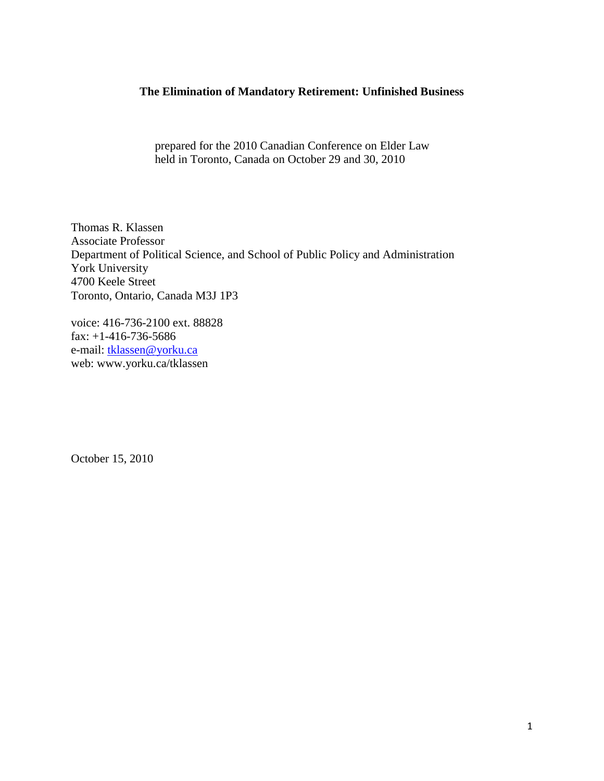### **The Elimination of Mandatory Retirement: Unfinished Business**

prepared for the 2010 Canadian Conference on Elder Law held in Toronto, Canada on October 29 and 30, 2010

Thomas R. Klassen Associate Professor Department of Political Science, and School of Public Policy and Administration York University 4700 Keele Street Toronto, Ontario, Canada M3J 1P3

voice: 416-736-2100 ext. 88828 fax: +1-416-736-5686 e-mail: [tklassen@yorku.ca](mailto:tklassen@yorku.ca) web: www.yorku.ca/tklassen

October 15, 2010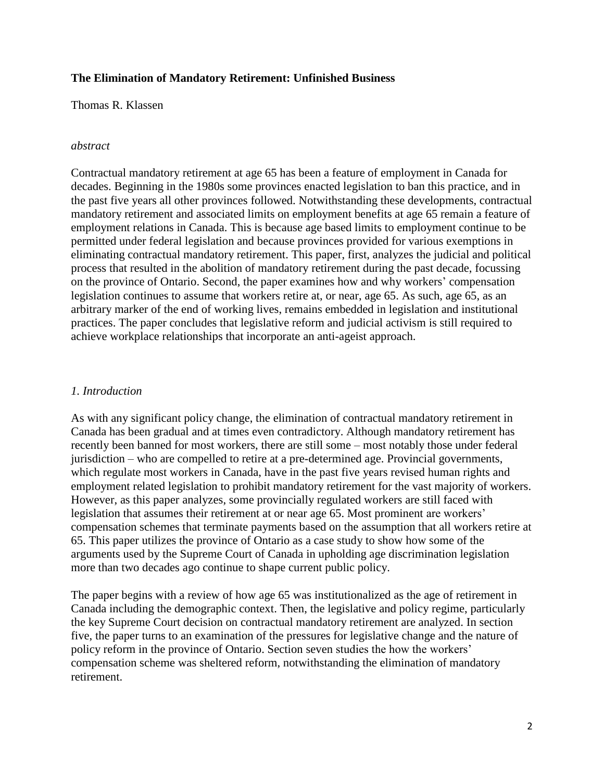## **The Elimination of Mandatory Retirement: Unfinished Business**

Thomas R. Klassen

### *abstract*

Contractual mandatory retirement at age 65 has been a feature of employment in Canada for decades. Beginning in the 1980s some provinces enacted legislation to ban this practice, and in the past five years all other provinces followed. Notwithstanding these developments, contractual mandatory retirement and associated limits on employment benefits at age 65 remain a feature of employment relations in Canada. This is because age based limits to employment continue to be permitted under federal legislation and because provinces provided for various exemptions in eliminating contractual mandatory retirement. This paper, first, analyzes the judicial and political process that resulted in the abolition of mandatory retirement during the past decade, focussing on the province of Ontario. Second, the paper examines how and why workers" compensation legislation continues to assume that workers retire at, or near, age 65. As such, age 65, as an arbitrary marker of the end of working lives, remains embedded in legislation and institutional practices. The paper concludes that legislative reform and judicial activism is still required to achieve workplace relationships that incorporate an anti-ageist approach.

### *1. Introduction*

As with any significant policy change, the elimination of contractual mandatory retirement in Canada has been gradual and at times even contradictory. Although mandatory retirement has recently been banned for most workers, there are still some – most notably those under federal jurisdiction – who are compelled to retire at a pre-determined age. Provincial governments, which regulate most workers in Canada, have in the past five years revised human rights and employment related legislation to prohibit mandatory retirement for the vast majority of workers. However, as this paper analyzes, some provincially regulated workers are still faced with legislation that assumes their retirement at or near age 65. Most prominent are workers' compensation schemes that terminate payments based on the assumption that all workers retire at 65. This paper utilizes the province of Ontario as a case study to show how some of the arguments used by the Supreme Court of Canada in upholding age discrimination legislation more than two decades ago continue to shape current public policy.

The paper begins with a review of how age 65 was institutionalized as the age of retirement in Canada including the demographic context. Then, the legislative and policy regime, particularly the key Supreme Court decision on contractual mandatory retirement are analyzed. In section five, the paper turns to an examination of the pressures for legislative change and the nature of policy reform in the province of Ontario. Section seven studies the how the workers" compensation scheme was sheltered reform, notwithstanding the elimination of mandatory retirement.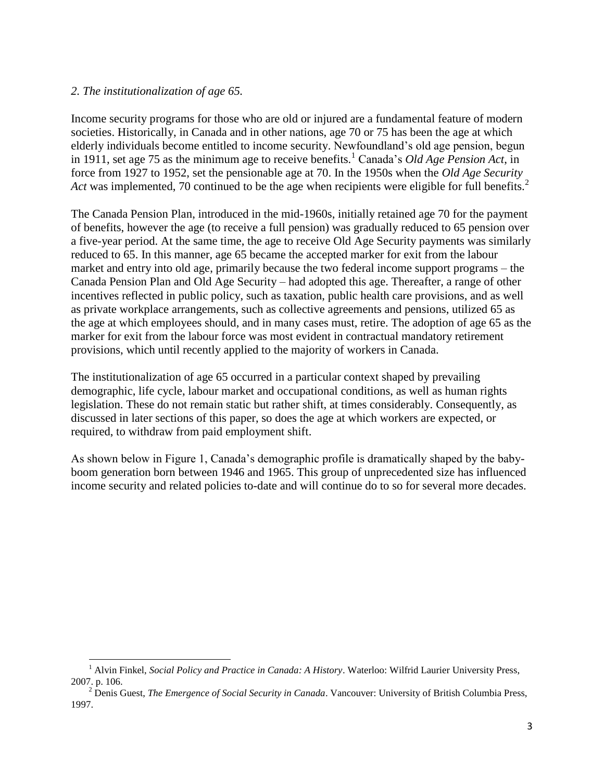## *2. The institutionalization of age 65.*

 $\overline{\phantom{a}}$ 

Income security programs for those who are old or injured are a fundamental feature of modern societies. Historically, in Canada and in other nations, age 70 or 75 has been the age at which elderly individuals become entitled to income security. Newfoundland"s old age pension, begun in 1911, set age 75 as the minimum age to receive benefits.<sup>1</sup> Canada's *Old Age Pension Act*, in force from 1927 to 1952, set the pensionable age at 70. In the 1950s when the *Old Age Security Act* was implemented, 70 continued to be the age when recipients were eligible for full benefits.<sup>2</sup>

The Canada Pension Plan, introduced in the mid-1960s, initially retained age 70 for the payment of benefits, however the age (to receive a full pension) was gradually reduced to 65 pension over a five-year period. At the same time, the age to receive Old Age Security payments was similarly reduced to 65. In this manner, age 65 became the accepted marker for exit from the labour market and entry into old age, primarily because the two federal income support programs – the Canada Pension Plan and Old Age Security – had adopted this age. Thereafter, a range of other incentives reflected in public policy, such as taxation, public health care provisions, and as well as private workplace arrangements, such as collective agreements and pensions, utilized 65 as the age at which employees should, and in many cases must, retire. The adoption of age 65 as the marker for exit from the labour force was most evident in contractual mandatory retirement provisions, which until recently applied to the majority of workers in Canada.

The institutionalization of age 65 occurred in a particular context shaped by prevailing demographic, life cycle, labour market and occupational conditions, as well as human rights legislation. These do not remain static but rather shift, at times considerably. Consequently, as discussed in later sections of this paper, so does the age at which workers are expected, or required, to withdraw from paid employment shift.

As shown below in Figure 1, Canada"s demographic profile is dramatically shaped by the babyboom generation born between 1946 and 1965. This group of unprecedented size has influenced income security and related policies to-date and will continue do to so for several more decades.

<sup>1</sup> Alvin Finkel, *Social Policy and Practice in Canada: A History*. Waterloo: Wilfrid Laurier University Press, 2007. p. 106.

<sup>2</sup> Denis Guest, *The Emergence of Social Security in Canada*. Vancouver: University of British Columbia Press, 1997.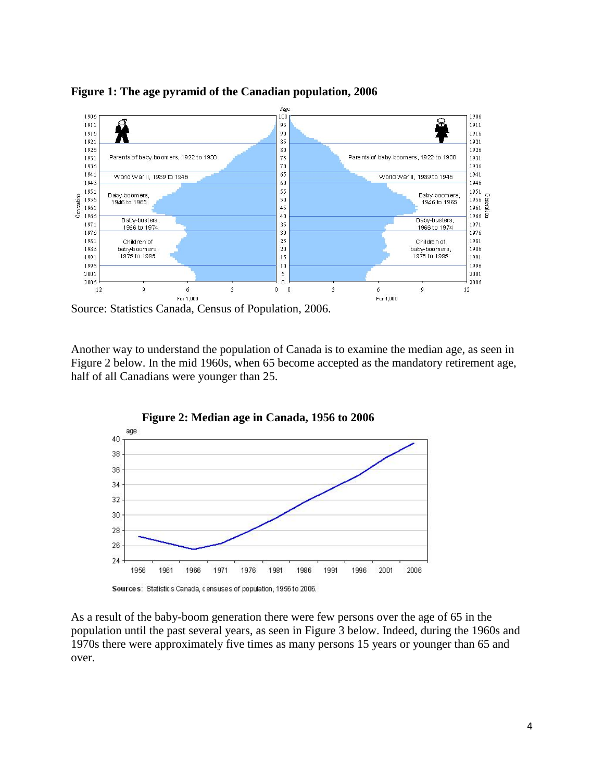**Figure 1: The age pyramid of the Canadian population, 2006**



Source: Statistics Canada, Census of Population, 2006.

Another way to understand the population of Canada is to examine the median age, as seen in Figure 2 below. In the mid 1960s, when 65 become accepted as the mandatory retirement age, half of all Canadians were younger than 25.



As a result of the baby-boom generation there were few persons over the age of 65 in the population until the past several years, as seen in Figure 3 below. Indeed, during the 1960s and 1970s there were approximately five times as many persons 15 years or younger than 65 and over.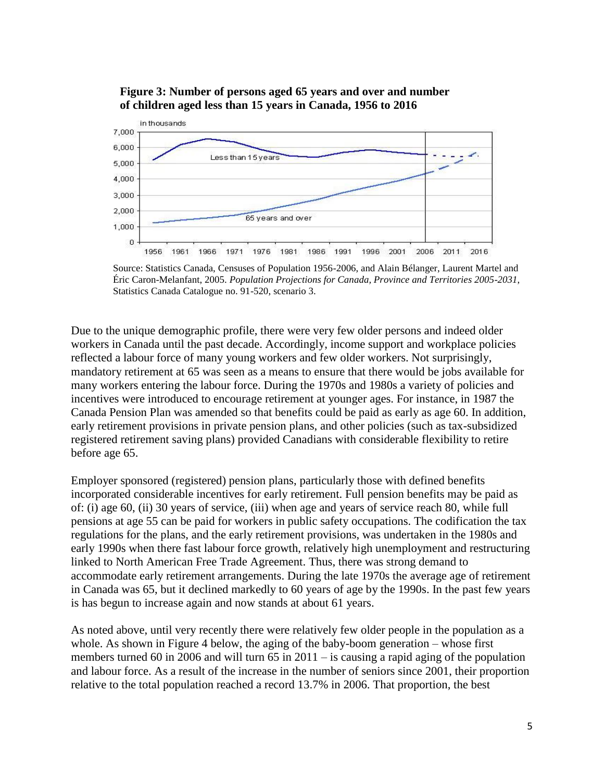

# **Figure 3: Number of persons aged 65 years and over and number of children aged less than 15 years in Canada, 1956 to 2016**

Source: Statistics Canada, Censuses of Population 1956-2006, and Alain Bélanger, Laurent Martel and Éric Caron-Melanfant, 2005. *Population Projections for Canada, Province and Territories 2005-2031*, Statistics Canada Catalogue no. 91-520, scenario 3.

Due to the unique demographic profile, there were very few older persons and indeed older workers in Canada until the past decade. Accordingly, income support and workplace policies reflected a labour force of many young workers and few older workers. Not surprisingly, mandatory retirement at 65 was seen as a means to ensure that there would be jobs available for many workers entering the labour force. During the 1970s and 1980s a variety of policies and incentives were introduced to encourage retirement at younger ages. For instance, in 1987 the Canada Pension Plan was amended so that benefits could be paid as early as age 60. In addition, early retirement provisions in private pension plans, and other policies (such as tax-subsidized registered retirement saving plans) provided Canadians with considerable flexibility to retire before age 65.

Employer sponsored (registered) pension plans, particularly those with defined benefits incorporated considerable incentives for early retirement. Full pension benefits may be paid as of: (i) age 60, (ii) 30 years of service, (iii) when age and years of service reach 80, while full pensions at age 55 can be paid for workers in public safety occupations. The codification the tax regulations for the plans, and the early retirement provisions, was undertaken in the 1980s and early 1990s when there fast labour force growth, relatively high unemployment and restructuring linked to North American Free Trade Agreement. Thus, there was strong demand to accommodate early retirement arrangements. During the late 1970s the average age of retirement in Canada was 65, but it declined markedly to 60 years of age by the 1990s. In the past few years is has begun to increase again and now stands at about 61 years.

As noted above, until very recently there were relatively few older people in the population as a whole. As shown in Figure 4 below, the aging of the baby-boom generation – whose first members turned 60 in 2006 and will turn 65 in 2011 – is causing a rapid aging of the population and labour force. As a result of the increase in the number of seniors since 2001, their proportion relative to the total population reached a record 13.7% in 2006. That proportion, the best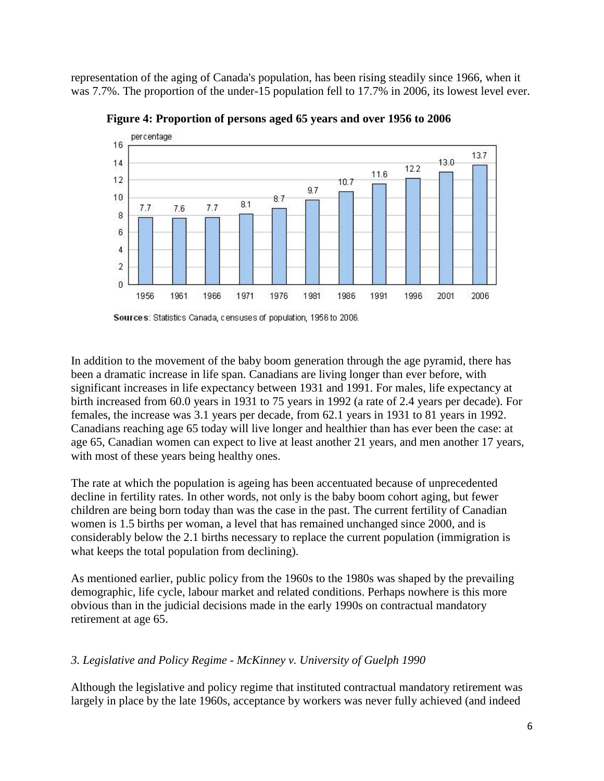representation of the aging of Canada's population, has been rising steadily since 1966, when it was 7.7%. The proportion of the under-15 population fell to 17.7% in 2006, its lowest level ever.



**Figure 4: Proportion of persons aged 65 years and over 1956 to 2006**

In addition to the movement of the baby boom generation through the age pyramid, there has been a dramatic increase in life span. Canadians are living longer than ever before, with significant increases in life expectancy between 1931 and 1991. For males, life expectancy at birth increased from 60.0 years in 1931 to 75 years in 1992 (a rate of 2.4 years per decade). For females, the increase was 3.1 years per decade, from 62.1 years in 1931 to 81 years in 1992. Canadians reaching age 65 today will live longer and healthier than has ever been the case: at age 65, Canadian women can expect to live at least another 21 years, and men another 17 years, with most of these years being healthy ones.

The rate at which the population is ageing has been accentuated because of unprecedented decline in fertility rates. In other words, not only is the baby boom cohort aging, but fewer children are being born today than was the case in the past. The current fertility of Canadian women is 1.5 births per woman, a level that has remained unchanged since 2000, and is considerably below the 2.1 births necessary to replace the current population (immigration is what keeps the total population from declining).

As mentioned earlier, public policy from the 1960s to the 1980s was shaped by the prevailing demographic, life cycle, labour market and related conditions. Perhaps nowhere is this more obvious than in the judicial decisions made in the early 1990s on contractual mandatory retirement at age 65.

# *3. Legislative and Policy Regime - McKinney v. University of Guelph 1990*

Although the legislative and policy regime that instituted contractual mandatory retirement was largely in place by the late 1960s, acceptance by workers was never fully achieved (and indeed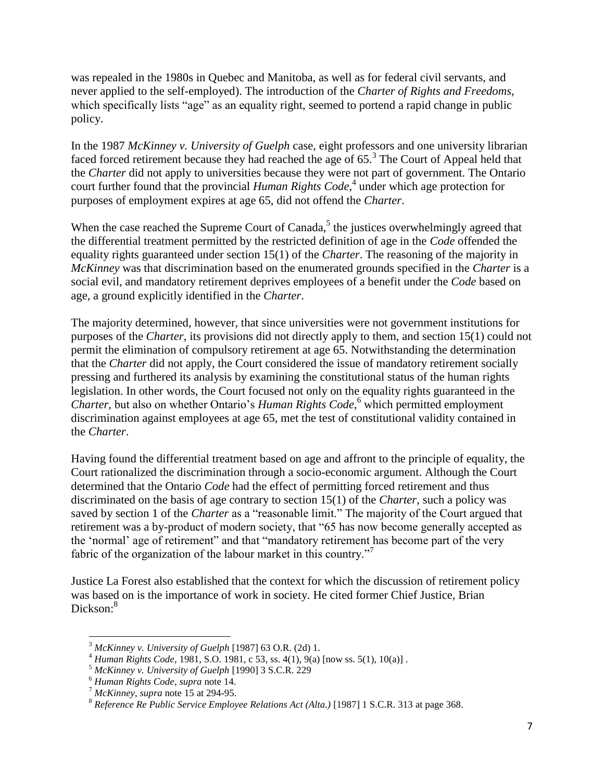was repealed in the 1980s in Quebec and Manitoba, as well as for federal civil servants, and never applied to the self-employed). The introduction of the *Charter of Rights and Freedoms*, which specifically lists "age" as an equality right, seemed to portend a rapid change in public policy.

In the 1987 *McKinney v. University of Guelph* case, eight professors and one university librarian faced forced retirement because they had reached the age of  $65<sup>3</sup>$ . The Court of Appeal held that the *Charter* did not apply to universities because they were not part of government. The Ontario court further found that the provincial *Human Rights Code*, 4 under which age protection for purposes of employment expires at age 65, did not offend the *Charter*.

When the case reached the Supreme Court of Canada,<sup>5</sup> the justices overwhelmingly agreed that the differential treatment permitted by the restricted definition of age in the *Code* offended the equality rights guaranteed under section 15(1) of the *Charter*. The reasoning of the majority in *McKinney* was that discrimination based on the enumerated grounds specified in the *Charter* is a social evil, and mandatory retirement deprives employees of a benefit under the *Code* based on age, a ground explicitly identified in the *Charter*.

The majority determined, however, that since universities were not government institutions for purposes of the *Charter*, its provisions did not directly apply to them, and section 15(1) could not permit the elimination of compulsory retirement at age 65. Notwithstanding the determination that the *Charter* did not apply, the Court considered the issue of mandatory retirement socially pressing and furthered its analysis by examining the constitutional status of the human rights legislation. In other words, the Court focused not only on the equality rights guaranteed in the *Charter,* but also on whether Ontario"s *Human Rights Code*, <sup>6</sup> which permitted employment discrimination against employees at age 65, met the test of constitutional validity contained in the *Charter*.

Having found the differential treatment based on age and affront to the principle of equality, the Court rationalized the discrimination through a socio-economic argument. Although the Court determined that the Ontario *Code* had the effect of permitting forced retirement and thus discriminated on the basis of age contrary to section 15(1) of the *Charter*, such a policy was saved by section 1 of the *Charter* as a "reasonable limit." The majority of the Court argued that retirement was a by-product of modern society, that "65 has now become generally accepted as the "normal" age of retirement" and that "mandatory retirement has become part of the very fabric of the organization of the labour market in this country.<sup>"7</sup>

Justice La Forest also established that the context for which the discussion of retirement policy was based on is the importance of work in society. He cited former Chief Justice, Brian Dickson:<sup>8</sup>

l <sup>3</sup> *McKinney v. University of Guelph* [1987] 63 O.R. (2d) 1.

<sup>4</sup> *Human Rights Code*, 1981, S.O. 1981, c 53, ss. 4(1), 9(a) [now ss. 5(1), 10(a)] .

<sup>5</sup> *McKinney v. University of Guelph* [1990] 3 S.C.R. 229

<sup>6</sup> *Human Rights Code*, *supra* note 14.

<sup>7</sup> *McKinney*, *supra* note 15 at 294-95.

<sup>8</sup> *Reference Re Public Service Employee Relations Act (Alta.)* [1987] 1 S.C.R. 313 at page 368.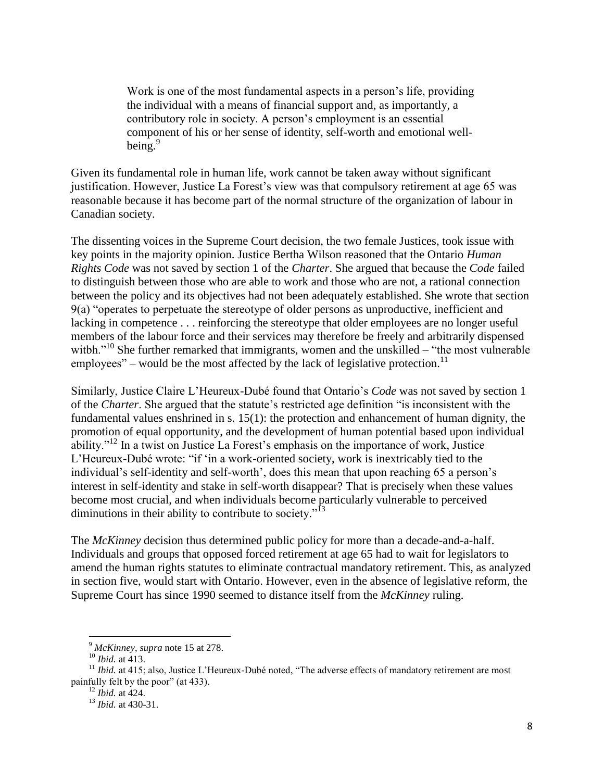Work is one of the most fundamental aspects in a person's life, providing the individual with a means of financial support and, as importantly, a contributory role in society. A person"s employment is an essential component of his or her sense of identity, self-worth and emotional wellbeing.<sup>9</sup>

Given its fundamental role in human life, work cannot be taken away without significant justification. However, Justice La Forest"s view was that compulsory retirement at age 65 was reasonable because it has become part of the normal structure of the organization of labour in Canadian society.

The dissenting voices in the Supreme Court decision, the two female Justices, took issue with key points in the majority opinion. Justice Bertha Wilson reasoned that the Ontario *Human Rights Code* was not saved by section 1 of the *Charter*. She argued that because the *Code* failed to distinguish between those who are able to work and those who are not, a rational connection between the policy and its objectives had not been adequately established. She wrote that section 9(a) "operates to perpetuate the stereotype of older persons as unproductive, inefficient and lacking in competence . . . reinforcing the stereotype that older employees are no longer useful members of the labour force and their services may therefore be freely and arbitrarily dispensed witbh."<sup>10</sup> She further remarked that immigrants, women and the unskilled – "the most vulnerable" employees" – would be the most affected by the lack of legislative protection.<sup>11</sup>

Similarly, Justice Claire L"Heureux-Dubé found that Ontario"s *Code* was not saved by section 1 of the *Charter*. She argued that the statute"s restricted age definition "is inconsistent with the fundamental values enshrined in s. 15(1): the protection and enhancement of human dignity, the promotion of equal opportunity, and the development of human potential based upon individual ability."<sup>12</sup> In a twist on Justice La Forest's emphasis on the importance of work, Justice L"Heureux-Dubé wrote: "if "in a work-oriented society, work is inextricably tied to the individual's self-identity and self-worth', does this mean that upon reaching 65 a person's interest in self-identity and stake in self-worth disappear? That is precisely when these values become most crucial, and when individuals become particularly vulnerable to perceived diminutions in their ability to contribute to society."<sup>13</sup>

The *McKinney* decision thus determined public policy for more than a decade-and-a-half. Individuals and groups that opposed forced retirement at age 65 had to wait for legislators to amend the human rights statutes to eliminate contractual mandatory retirement. This, as analyzed in section five, would start with Ontario. However, even in the absence of legislative reform, the Supreme Court has since 1990 seemed to distance itself from the *McKinney* ruling.

l

<sup>9</sup> *McKinney*, *supra* note 15 at 278.

<sup>10</sup> *Ibid.* at 413.

<sup>&</sup>lt;sup>11</sup> *Ibid.* at 415; also, Justice L'Heureux-Dubé noted, "The adverse effects of mandatory retirement are most painfully felt by the poor" (at 433).

<sup>12</sup> *Ibid.* at 424.

<sup>13</sup> *Ibid.* at 430-31.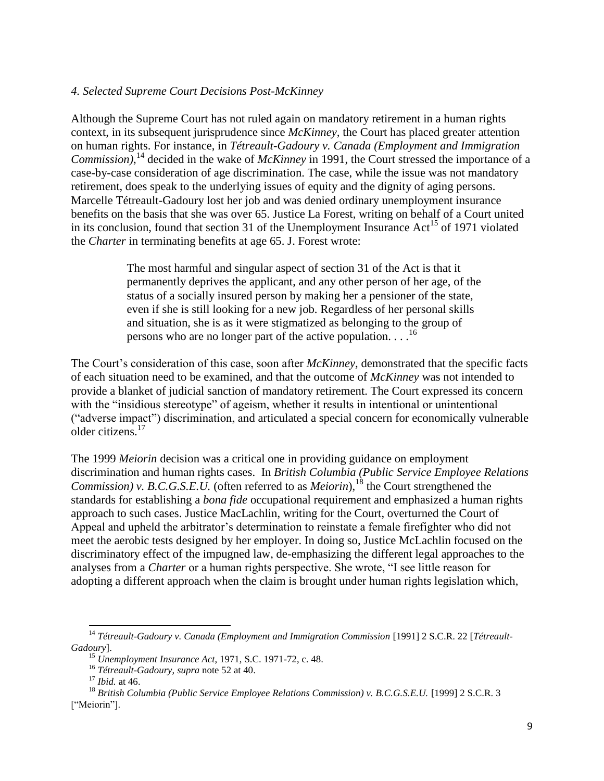### *4. Selected Supreme Court Decisions Post-McKinney*

Although the Supreme Court has not ruled again on mandatory retirement in a human rights context, in its subsequent jurisprudence since *McKinney,* the Court has placed greater attention on human rights. For instance, in *Tétreault-Gadoury v. Canada (Employment and Immigration Commission)*, <sup>14</sup> decided in the wake of *McKinney* in 1991, the Court stressed the importance of a case-by-case consideration of age discrimination. The case, while the issue was not mandatory retirement, does speak to the underlying issues of equity and the dignity of aging persons. Marcelle Tétreault-Gadoury lost her job and was denied ordinary unemployment insurance benefits on the basis that she was over 65. Justice La Forest, writing on behalf of a Court united in its conclusion, found that section 31 of the Unemployment Insurance Act<sup>15</sup> of 1971 violated the *Charter* in terminating benefits at age 65. J. Forest wrote:

> The most harmful and singular aspect of section 31 of the Act is that it permanently deprives the applicant, and any other person of her age, of the status of a socially insured person by making her a pensioner of the state, even if she is still looking for a new job. Regardless of her personal skills and situation, she is as it were stigmatized as belonging to the group of persons who are no longer part of the active population.  $\ldots$ <sup>16</sup>

The Court's consideration of this case, soon after *McKinney*, demonstrated that the specific facts of each situation need to be examined, and that the outcome of *McKinney* was not intended to provide a blanket of judicial sanction of mandatory retirement. The Court expressed its concern with the "insidious stereotype" of ageism, whether it results in intentional or unintentional ("adverse impact") discrimination, and articulated a special concern for economically vulnerable older citizens.<sup>17</sup>

The 1999 *Meiorin* decision was a critical one in providing guidance on employment discrimination and human rights cases. In *British Columbia (Public Service Employee Relations Commission) v. B.C.G.S.E.U.* (often referred to as *Meiorin*), <sup>18</sup> the Court strengthened the standards for establishing a *bona fide* occupational requirement and emphasized a human rights approach to such cases. Justice MacLachlin, writing for the Court, overturned the Court of Appeal and upheld the arbitrator"s determination to reinstate a female firefighter who did not meet the aerobic tests designed by her employer. In doing so, Justice McLachlin focused on the discriminatory effect of the impugned law, de-emphasizing the different legal approaches to the analyses from a *Charter* or a human rights perspective. She wrote, "I see little reason for adopting a different approach when the claim is brought under human rights legislation which,

 $\overline{\phantom{a}}$ 

<sup>14</sup> *Tétreault-Gadoury v. Canada (Employment and Immigration Commission* [1991] 2 S.C.R. 22 [*Tétreault-Gadoury*].

<sup>15</sup> *Unemployment Insurance Act*, 1971, S.C. 1971-72, c. 48.

<sup>16</sup> *Tétreault-Gadoury*, *supra* note 52 at 40.

<sup>17</sup> *Ibid.* at 46.

<sup>18</sup> *British Columbia (Public Service Employee Relations Commission) v. B.C.G.S.E.U.* [1999] 2 S.C.R. 3 ["Meiorin"].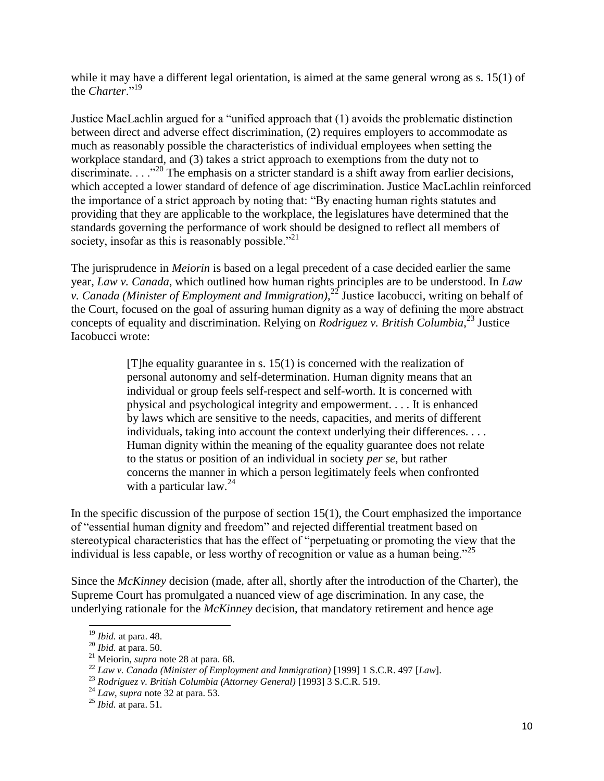while it may have a different legal orientation, is aimed at the same general wrong as s. 15(1) of the *Charter*<sup>"19</sup>

Justice MacLachlin argued for a "unified approach that (1) avoids the problematic distinction between direct and adverse effect discrimination, (2) requires employers to accommodate as much as reasonably possible the characteristics of individual employees when setting the workplace standard, and (3) takes a strict approach to exemptions from the duty not to discriminate. . . .<sup>20</sup> The emphasis on a stricter standard is a shift away from earlier decisions, which accepted a lower standard of defence of age discrimination. Justice MacLachlin reinforced the importance of a strict approach by noting that: "By enacting human rights statutes and providing that they are applicable to the workplace, the legislatures have determined that the standards governing the performance of work should be designed to reflect all members of society, insofar as this is reasonably possible."<sup>21</sup>

The jurisprudence in *Meiorin* is based on a legal precedent of a case decided earlier the same year, *Law v. Canada*, which outlined how human rights principles are to be understood. In *Law v. Canada (Minister of Employment and Immigration)*, <sup>22</sup> Justice Iacobucci, writing on behalf of the Court, focused on the goal of assuring human dignity as a way of defining the more abstract concepts of equality and discrimination. Relying on *Rodriguez v. British Columbia*, <sup>23</sup> Justice Iacobucci wrote:

> [T] he equality guarantee in s.  $15(1)$  is concerned with the realization of personal autonomy and self-determination. Human dignity means that an individual or group feels self-respect and self-worth. It is concerned with physical and psychological integrity and empowerment. . . . It is enhanced by laws which are sensitive to the needs, capacities, and merits of different individuals, taking into account the context underlying their differences. . . . Human dignity within the meaning of the equality guarantee does not relate to the status or position of an individual in society *per se*, but rather concerns the manner in which a person legitimately feels when confronted with a particular law.  $24$

In the specific discussion of the purpose of section  $15(1)$ , the Court emphasized the importance of "essential human dignity and freedom" and rejected differential treatment based on stereotypical characteristics that has the effect of "perpetuating or promoting the view that the individual is less capable, or less worthy of recognition or value as a human being."<sup>25</sup>

Since the *McKinney* decision (made, after all, shortly after the introduction of the Charter), the Supreme Court has promulgated a nuanced view of age discrimination. In any case, the underlying rationale for the *McKinney* decision, that mandatory retirement and hence age

 $\overline{\phantom{a}}$ 

<sup>19</sup> *Ibid.* at para. 48.

<sup>20</sup> *Ibid.* at para. 50.

<sup>21</sup> Meiorin, *supra* note 28 at para. 68.

<sup>22</sup> *Law v. Canada (Minister of Employment and Immigration)* [1999] 1 S.C.R. 497 [*Law*].

<sup>23</sup> *Rodriguez v. British Columbia (Attorney General)* [1993] 3 S.C.R. 519.

<sup>24</sup> *Law*, *supra* note 32 at para. 53.

<sup>25</sup> *Ibid.* at para. 51.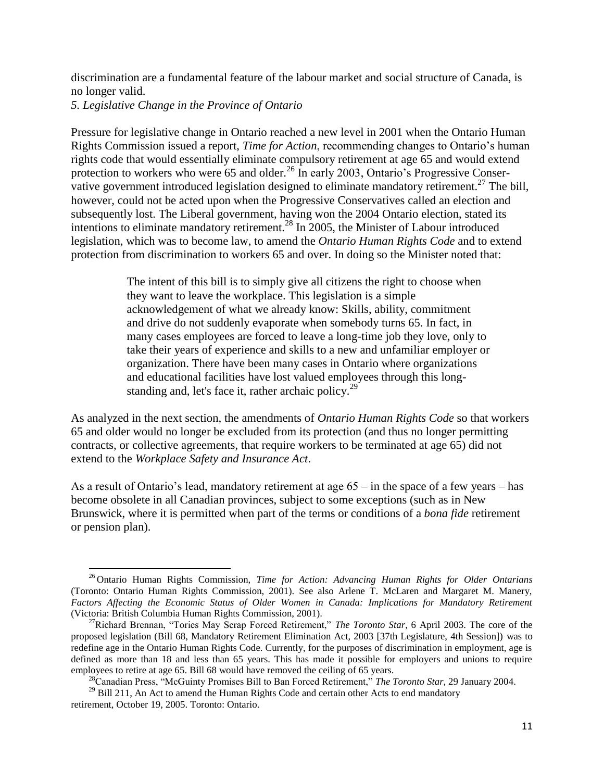discrimination are a fundamental feature of the labour market and social structure of Canada, is no longer valid.

*5. Legislative Change in the Province of Ontario*

 $\overline{a}$ 

Pressure for legislative change in Ontario reached a new level in 2001 when the Ontario Human Rights Commission issued a report, *Time for Action*, recommending changes to Ontario"s human rights code that would essentially eliminate compulsory retirement at age 65 and would extend protection to workers who were 65 and older.<sup>26</sup> In early 2003, Ontario's Progressive Conservative government introduced legislation designed to eliminate mandatory retirement.<sup>27</sup> The bill, however, could not be acted upon when the Progressive Conservatives called an election and subsequently lost. The Liberal government, having won the 2004 Ontario election, stated its intentions to eliminate mandatory retirement.<sup>28</sup> In 2005, the Minister of Labour introduced legislation, which was to become law, to amend the *Ontario Human Rights Code* and to extend protection from discrimination to workers 65 and over. In doing so the Minister noted that:

> The intent of this bill is to simply give all citizens the right to choose when they want to leave the workplace. This legislation is a simple acknowledgement of what we already know: Skills, ability, commitment and drive do not suddenly evaporate when somebody turns 65. In fact, in many cases employees are forced to leave a long-time job they love, only to take their years of experience and skills to a new and unfamiliar employer or organization. There have been many cases in Ontario where organizations and educational facilities have lost valued employees through this longstanding and, let's face it, rather archaic policy. $2^9$

As analyzed in the next section, the amendments of *Ontario Human Rights Code* so that workers 65 and older would no longer be excluded from its protection (and thus no longer permitting contracts, or collective agreements, that require workers to be terminated at age 65) did not extend to the *Workplace Safety and Insurance Act*.

As a result of Ontario's lead, mandatory retirement at age  $65 - in$  the space of a few years – has become obsolete in all Canadian provinces, subject to some exceptions (such as in New Brunswick, where it is permitted when part of the terms or conditions of a *bona fide* retirement or pension plan).

<sup>26</sup> Ontario Human Rights Commission, *Time for Action: Advancing Human Rights for Older Ontarians* (Toronto: Ontario Human Rights Commission, 2001). See also Arlene T. McLaren and Margaret M. Manery, *Factors Affecting the Economic Status of Older Women in Canada: Implications for Mandatory Retirement* (Victoria: British Columbia Human Rights Commission, 2001).

<sup>&</sup>lt;sup>27</sup>Richard Brennan, "Tories May Scrap Forced Retirement," *The Toronto Star*, 6 April 2003. The core of the proposed legislation (Bill 68, Mandatory Retirement Elimination Act, 2003 [37th Legislature, 4th Session]) was to redefine age in the Ontario Human Rights Code. Currently, for the purposes of discrimination in employment, age is defined as more than 18 and less than 65 years. This has made it possible for employers and unions to require employees to retire at age 65. Bill 68 would have removed the ceiling of 65 years.

<sup>28</sup>Canadian Press, "McGuinty Promises Bill to Ban Forced Retirement," *The Toronto Star*, 29 January 2004.

<sup>&</sup>lt;sup>29</sup> Bill 211, An Act to amend the Human Rights Code and certain other Acts to end mandatory retirement, October 19, 2005. Toronto: Ontario.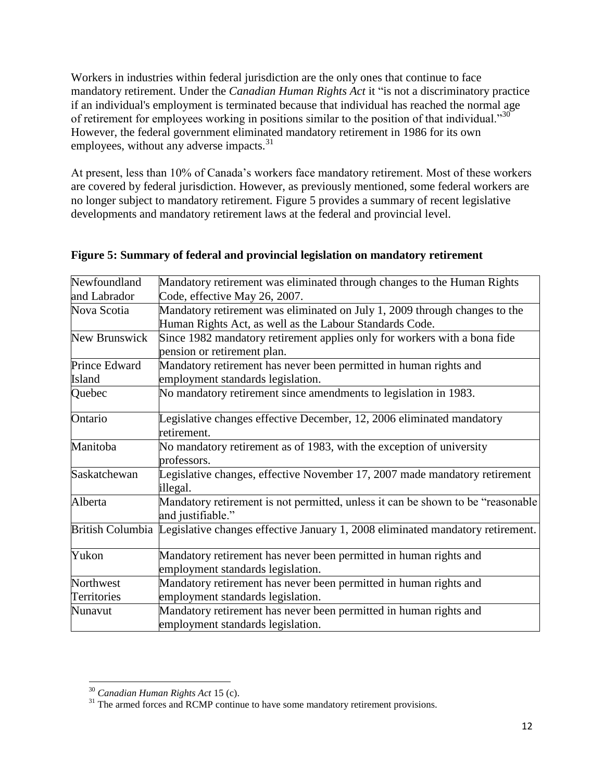Workers in industries within federal jurisdiction are the only ones that continue to face mandatory retirement. Under the *Canadian Human Rights Act* it "is not a discriminatory practice if an individual's employment is terminated because that individual has reached the normal age of retirement for employees working in positions similar to the position of that individual."<sup>30</sup> However, the federal government eliminated mandatory retirement in 1986 for its own employees, without any adverse impacts.<sup>31</sup>

At present, less than 10% of Canada"s workers face mandatory retirement. Most of these workers are covered by federal jurisdiction. However, as previously mentioned, some federal workers are no longer subject to mandatory retirement*.* Figure 5 provides a summary of recent legislative developments and mandatory retirement laws at the federal and provincial level.

| Newfoundland       | Mandatory retirement was eliminated through changes to the Human Rights                         |
|--------------------|-------------------------------------------------------------------------------------------------|
| and Labrador       | Code, effective May 26, 2007.                                                                   |
| Nova Scotia        | Mandatory retirement was eliminated on July 1, 2009 through changes to the                      |
|                    | Human Rights Act, as well as the Labour Standards Code.                                         |
| New Brunswick      | Since 1982 mandatory retirement applies only for workers with a bona fide                       |
|                    | pension or retirement plan.                                                                     |
| Prince Edward      | Mandatory retirement has never been permitted in human rights and                               |
| Island             | employment standards legislation.                                                               |
| Quebec             | No mandatory retirement since amendments to legislation in 1983.                                |
| Ontario            | Legislative changes effective December, 12, 2006 eliminated mandatory                           |
|                    | retirement.                                                                                     |
| Manitoba           | No mandatory retirement as of 1983, with the exception of university                            |
|                    | professors.                                                                                     |
| Saskatchewan       | Legislative changes, effective November 17, 2007 made mandatory retirement                      |
|                    | illegal.                                                                                        |
| Alberta            | Mandatory retirement is not permitted, unless it can be shown to be "reasonable"                |
|                    | and justifiable."                                                                               |
|                    | British Columbia Legislative changes effective January 1, 2008 eliminated mandatory retirement. |
| Yukon              | Mandatory retirement has never been permitted in human rights and                               |
|                    | employment standards legislation.                                                               |
| Northwest          | Mandatory retirement has never been permitted in human rights and                               |
| <b>Territories</b> | employment standards legislation.                                                               |
| Nunavut            | Mandatory retirement has never been permitted in human rights and                               |
|                    | employment standards legislation.                                                               |

### **Figure 5: Summary of federal and provincial legislation on mandatory retirement**

 $\overline{\phantom{a}}$ <sup>30</sup> *Canadian Human Rights Act* 15 (c).

 $31$  The armed forces and RCMP continue to have some mandatory retirement provisions.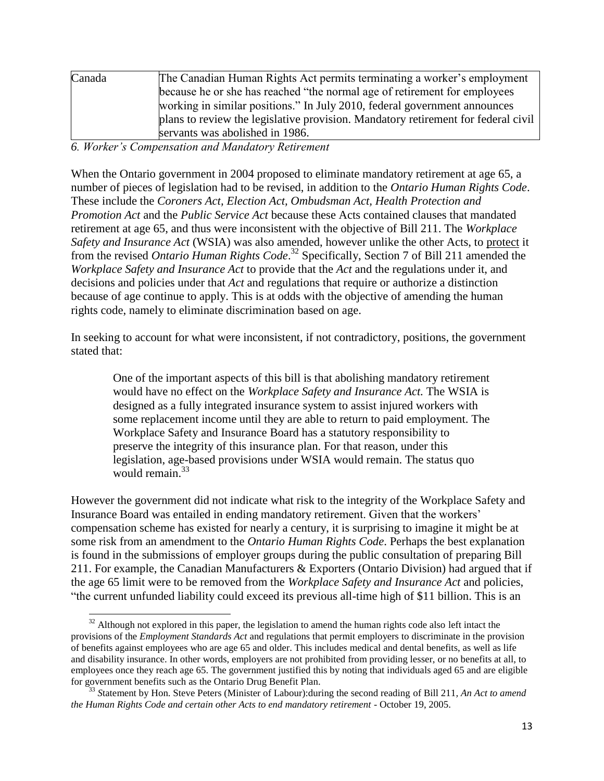| Canada | The Canadian Human Rights Act permits terminating a worker's employment           |
|--------|-----------------------------------------------------------------------------------|
|        | because he or she has reached "the normal age of retirement for employees"        |
|        | working in similar positions." In July 2010, federal government announces         |
|        | plans to review the legislative provision. Mandatory retirement for federal civil |
|        | servants was abolished in 1986.                                                   |

### *6. Worker's Compensation and Mandatory Retirement*

When the Ontario government in 2004 proposed to eliminate mandatory retirement at age 65, a number of pieces of legislation had to be revised, in addition to the *Ontario Human Rights Code*. These include the *Coroners Act, Election Act, Ombudsman Act, Health Protection and Promotion Act* and the *Public Service Act* because these Acts contained clauses that mandated retirement at age 65, and thus were inconsistent with the objective of Bill 211. The *Workplace Safety and Insurance Act* (WSIA) was also amended, however unlike the other Acts, to protect it from the revised *Ontario Human Rights Code*. <sup>32</sup> Specifically, Section 7 of Bill 211 amended the *Workplace Safety and Insurance Act* to provide that the *Act* and the regulations under it, and decisions and policies under that *Act* and regulations that require or authorize a distinction because of age continue to apply. This is at odds with the objective of amending the human rights code, namely to eliminate discrimination based on age.

In seeking to account for what were inconsistent, if not contradictory, positions, the government stated that:

One of the important aspects of this bill is that abolishing mandatory retirement would have no effect on the *Workplace Safety and Insurance Act.* The WSIA is designed as a fully integrated insurance system to assist injured workers with some replacement income until they are able to return to paid employment. The Workplace Safety and Insurance Board has a statutory responsibility to preserve the integrity of this insurance plan. For that reason, under this legislation, age-based provisions under WSIA would remain. The status quo would remain.<sup>33</sup>

However the government did not indicate what risk to the integrity of the Workplace Safety and Insurance Board was entailed in ending mandatory retirement. Given that the workers" compensation scheme has existed for nearly a century, it is surprising to imagine it might be at some risk from an amendment to the *Ontario Human Rights Code*. Perhaps the best explanation is found in the submissions of employer groups during the public consultation of preparing Bill 211. For example, the Canadian Manufacturers & Exporters (Ontario Division) had argued that if the age 65 limit were to be removed from the *Workplace Safety and Insurance Act* and policies, "the current unfunded liability could exceed its previous all-time high of \$11 billion. This is an

 $\overline{a}$  $32$  Although not explored in this paper, the legislation to amend the human rights code also left intact the provisions of the *Employment Standards Act* and regulations that permit employers to discriminate in the provision of benefits against employees who are age 65 and older. This includes medical and dental benefits, as well as life and disability insurance. In other words, employers are not prohibited from providing lesser, or no benefits at all, to employees once they reach age 65. The government justified this by noting that individuals aged 65 and are eligible for government benefits such as the Ontario Drug Benefit Plan.

<sup>&</sup>lt;sup>33</sup> Statement by Hon. Steve Peters (Minister of Labour): during the second reading of Bill 211, An Act to amend *the Human Rights Code and certain other Acts to end mandatory retirement* - October 19, 2005.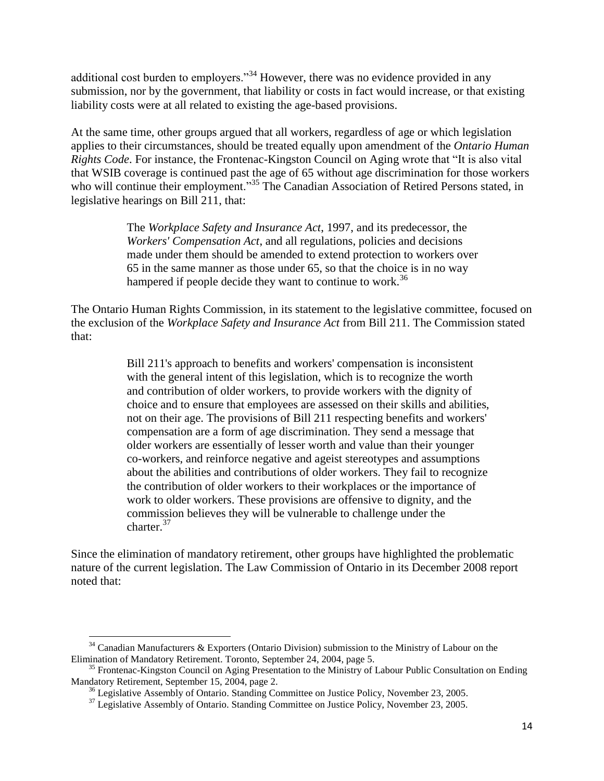additional cost burden to employers."<sup>34</sup> However, there was no evidence provided in any submission, nor by the government, that liability or costs in fact would increase, or that existing liability costs were at all related to existing the age-based provisions.

At the same time, other groups argued that all workers, regardless of age or which legislation applies to their circumstances, should be treated equally upon amendment of the *Ontario Human Rights Code*. For instance, the Frontenac-Kingston Council on Aging wrote that "It is also vital that WSIB coverage is continued past the age of 65 without age discrimination for those workers who will continue their employment."<sup>35</sup> The Canadian Association of Retired Persons stated, in legislative hearings on Bill 211, that:

> The *Workplace Safety and Insurance Act*, 1997, and its predecessor, the *Workers' Compensation Act*, and all regulations, policies and decisions made under them should be amended to extend protection to workers over 65 in the same manner as those under 65, so that the choice is in no way hampered if people decide they want to continue to work.<sup>36</sup>

The Ontario Human Rights Commission, in its statement to the legislative committee, focused on the exclusion of the *Workplace Safety and Insurance Act* from Bill 211. The Commission stated that:

> Bill 211's approach to benefits and workers' compensation is inconsistent with the general intent of this legislation, which is to recognize the worth and contribution of older workers, to provide workers with the dignity of choice and to ensure that employees are assessed on their skills and abilities, not on their age. The provisions of Bill 211 respecting benefits and workers' compensation are a form of age discrimination. They send a message that older workers are essentially of lesser worth and value than their younger co-workers, and reinforce negative and ageist stereotypes and assumptions about the abilities and contributions of older workers. They fail to recognize the contribution of older workers to their workplaces or the importance of work to older workers. These provisions are offensive to dignity, and the commission believes they will be vulnerable to challenge under the charter.<sup>37</sup>

Since the elimination of mandatory retirement, other groups have highlighted the problematic nature of the current legislation. The Law Commission of Ontario in its December 2008 report noted that:

l

 $34$  Canadian Manufacturers & Exporters (Ontario Division) submission to the Ministry of Labour on the Elimination of Mandatory Retirement. Toronto, September 24, 2004, page 5.

<sup>&</sup>lt;sup>35</sup> Frontenac-Kingston Council on Aging Presentation to the Ministry of Labour Public Consultation on Ending Mandatory Retirement, September 15, 2004, page 2.

<sup>&</sup>lt;sup>36</sup> Legislative Assembly of Ontario. Standing Committee on Justice Policy, November 23, 2005.

 $37$  Legislative Assembly of Ontario. Standing Committee on Justice Policy, November 23, 2005.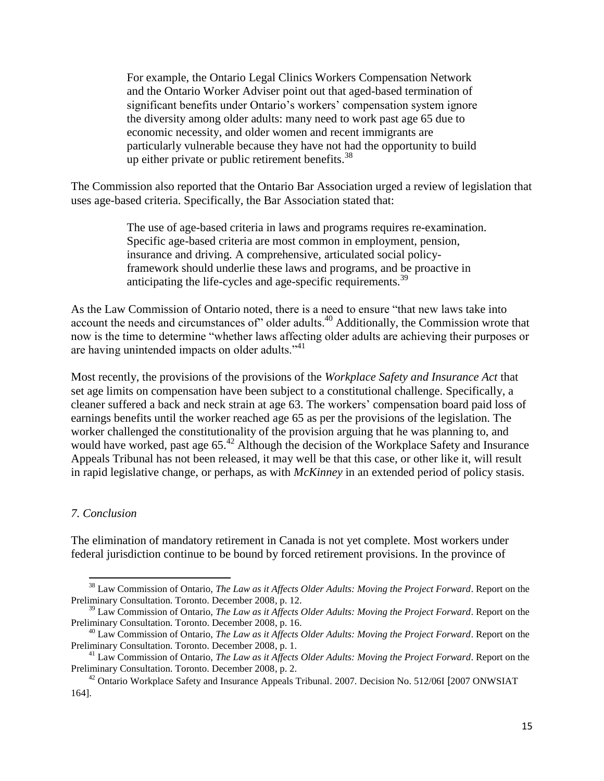For example, the Ontario Legal Clinics Workers Compensation Network and the Ontario Worker Adviser point out that aged-based termination of significant benefits under Ontario's workers' compensation system ignore the diversity among older adults: many need to work past age 65 due to economic necessity, and older women and recent immigrants are particularly vulnerable because they have not had the opportunity to build up either private or public retirement benefits.<sup>38</sup>

The Commission also reported that the Ontario Bar Association urged a review of legislation that uses age-based criteria. Specifically, the Bar Association stated that:

> The use of age-based criteria in laws and programs requires re-examination. Specific age-based criteria are most common in employment, pension, insurance and driving. A comprehensive, articulated social policyframework should underlie these laws and programs, and be proactive in anticipating the life-cycles and age-specific requirements.<sup>39</sup>

As the Law Commission of Ontario noted, there is a need to ensure "that new laws take into account the needs and circumstances of" older adults.<sup>40</sup> Additionally, the Commission wrote that now is the time to determine "whether laws affecting older adults are achieving their purposes or are having unintended impacts on older adults."<sup>41</sup>

Most recently, the provisions of the provisions of the *Workplace Safety and Insurance Act* that set age limits on compensation have been subject to a constitutional challenge. Specifically, a cleaner suffered a back and neck strain at age 63. The workers" compensation board paid loss of earnings benefits until the worker reached age 65 as per the provisions of the legislation. The worker challenged the constitutionality of the provision arguing that he was planning to, and would have worked, past age 65.<sup>42</sup> Although the decision of the Workplace Safety and Insurance Appeals Tribunal has not been released, it may well be that this case, or other like it, will result in rapid legislative change, or perhaps, as with *McKinney* in an extended period of policy stasis.

### *7. Conclusion*

 $\overline{\phantom{a}}$ 

The elimination of mandatory retirement in Canada is not yet complete. Most workers under federal jurisdiction continue to be bound by forced retirement provisions. In the province of

<sup>38</sup> Law Commission of Ontario, *The Law as it Affects Older Adults: Moving the Project Forward*. Report on the Preliminary Consultation. Toronto. December 2008, p. 12.

<sup>39</sup> Law Commission of Ontario, *The Law as it Affects Older Adults: Moving the Project Forward*. Report on the Preliminary Consultation. Toronto. December 2008, p. 16.

<sup>40</sup> Law Commission of Ontario, *The Law as it Affects Older Adults: Moving the Project Forward*. Report on the Preliminary Consultation. Toronto. December 2008, p. 1.

<sup>41</sup> Law Commission of Ontario, *The Law as it Affects Older Adults: Moving the Project Forward*. Report on the Preliminary Consultation. Toronto. December 2008, p. 2.

<sup>&</sup>lt;sup>42</sup> Ontario Workplace Safety and Insurance Appeals Tribunal. 2007. Decision No. 512/06I [2007 ONWSIAT] 164].